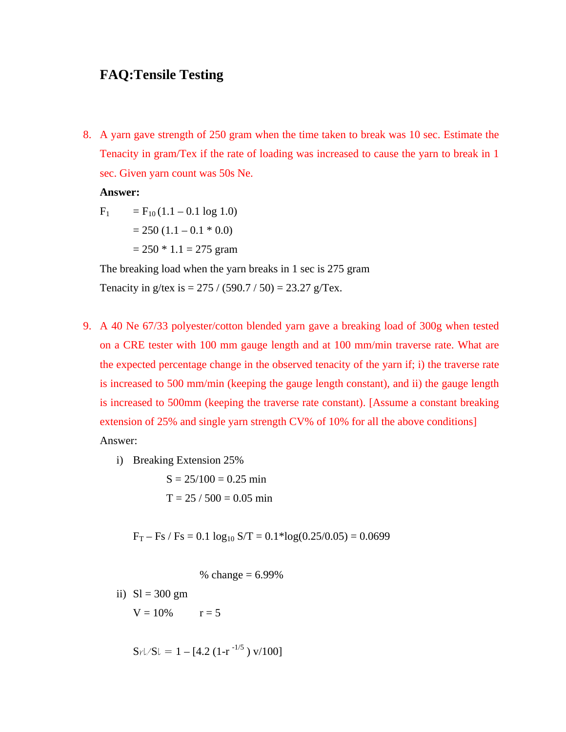# **FAQ:Tensile Testing**

8. A yarn gave strength of 250 gram when the time taken to break was 10 sec. Estimate the Tenacity in gram/Tex if the rate of loading was increased to cause the yarn to break in 1 sec. Given yarn count was 50s Ne.

**Answer:** 

$$
F_1 = F_{10} (1.1 - 0.1 \log 1.0)
$$
  
= 250 (1.1 - 0.1 \* 0.0)

 $= 250 * 1.1 = 275$  gram

The breaking load when the yarn breaks in 1 sec is 275 gram Tenacity in g/tex is =  $275 / (590.7 / 50) = 23.27$  g/Tex.

- 9. A 40 Ne 67/33 polyester/cotton blended yarn gave a breaking load of 300g when tested on a CRE tester with 100 mm gauge length and at 100 mm/min traverse rate. What are the expected percentage change in the observed tenacity of the yarn if; i) the traverse rate is increased to 500 mm/min (keeping the gauge length constant), and ii) the gauge length is increased to 500mm (keeping the traverse rate constant). [Assume a constant breaking extension of 25% and single yarn strength CV% of 10% for all the above conditions] Answer:
	- i) Breaking Extension 25%

$$
S = 25/100 = 0.25 \text{ min}
$$

$$
T = 25 / 500 = 0.05 \text{ min}
$$

 $F_T - Fs / Fs = 0.1 log_{10} S/T = 0.1 * log(0.25/0.05) = 0.0699$ 

% change  $= 6.99\%$ 

$$
ii) SI = 300 gm
$$

 $V = 10\%$   $r = 5$ 

$$
S_{\rm r}L/SL = 1 - [4.2 (1-r^{-1/5}) \, \text{v}/100]
$$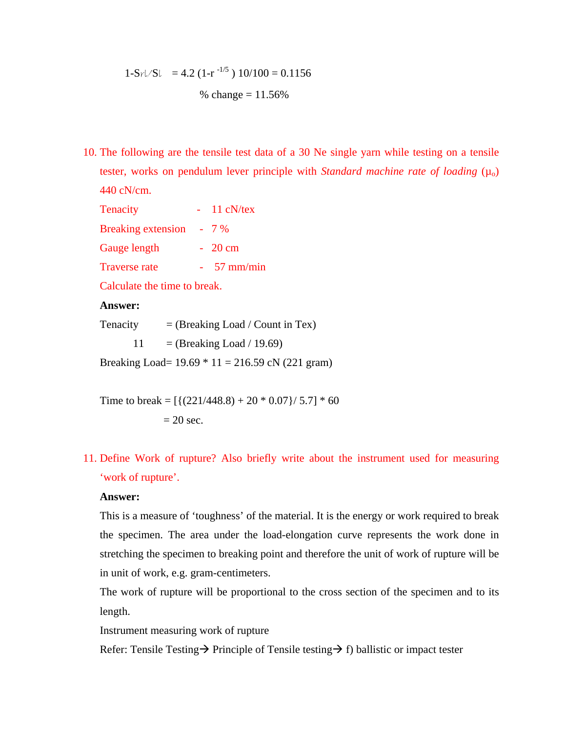$$
1-S_{\frac{r}{2}}/S_l
$$
 = 4.2 (1-r<sup>-1/5</sup>) 10/100 = 0.1156  
% change = 11.56%

10. The following are the tensile test data of a 30 Ne single yarn while testing on a tensile tester, works on pendulum lever principle with *Standard machine rate of loading*  $(\mu_0)$ 440 cN/cm.

| Tenacity                  | 11 cN/tex   |
|---------------------------|-------------|
| <b>Breaking extension</b> | $-7\%$      |
| Gauge length              | $-20$ cm    |
| <b>Traverse rate</b>      | $57$ mm/min |
|                           |             |

Calculate the time to break.

### **Answer:**

Tenacity  $=$  (Breaking Load / Count in Tex)

11 = (Breaking Load / 19.69)

Breaking Load=  $19.69 * 11 = 216.59$  cN (221 gram)

Time to break =  $[{(221/448.8) + 20 * 0.07}/5.7] * 60$  $= 20$  sec.

11. Define Work of rupture? Also briefly write about the instrument used for measuring 'work of rupture'.

#### **Answer:**

This is a measure of 'toughness' of the material. It is the energy or work required to break the specimen. The area under the load-elongation curve represents the work done in stretching the specimen to breaking point and therefore the unit of work of rupture will be in unit of work, e.g. gram-centimeters.

The work of rupture will be proportional to the cross section of the specimen and to its length.

Instrument measuring work of rupture

Refer: Tensile Testing  $\rightarrow$  Principle of Tensile testing  $\rightarrow$  f) ballistic or impact tester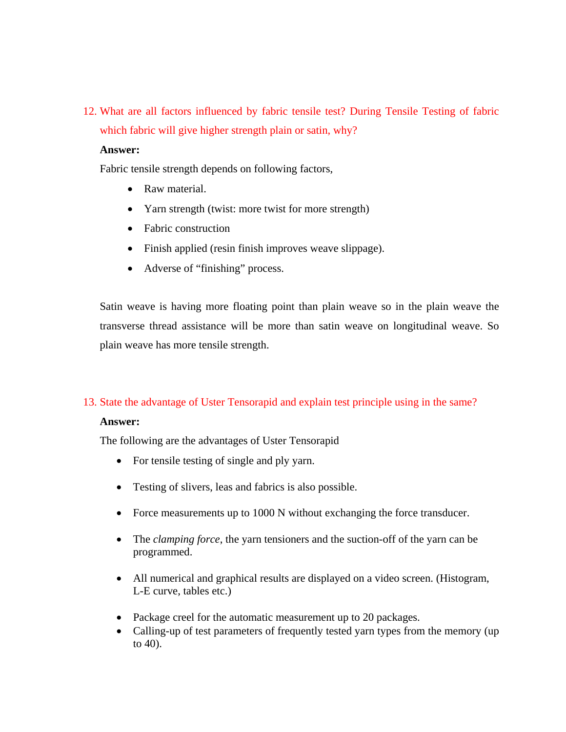12. What are all factors influenced by fabric tensile test? During Tensile Testing of fabric which fabric will give higher strength plain or satin, why?

#### **Answer:**

Fabric tensile strength depends on following factors,

- Raw material.
- Yarn strength (twist: more twist for more strength)
- Fabric construction
- Finish applied (resin finish improves weave slippage).
- Adverse of "finishing" process.

Satin weave is having more floating point than plain weave so in the plain weave the transverse thread assistance will be more than satin weave on longitudinal weave. So plain weave has more tensile strength.

## 13. State the advantage of Uster Tensorapid and explain test principle using in the same?

## **Answer:**

The following are the advantages of Uster Tensorapid

- For tensile testing of single and ply yarn.
- Testing of slivers, leas and fabrics is also possible.
- Force measurements up to 1000 N without exchanging the force transducer.
- The *clamping force*, the yarn tensioners and the suction-off of the yarn can be programmed.
- All numerical and graphical results are displayed on a video screen. (Histogram, L-E curve, tables etc.)
- Package creel for the automatic measurement up to 20 packages.
- Calling-up of test parameters of frequently tested yarn types from the memory (up to 40).